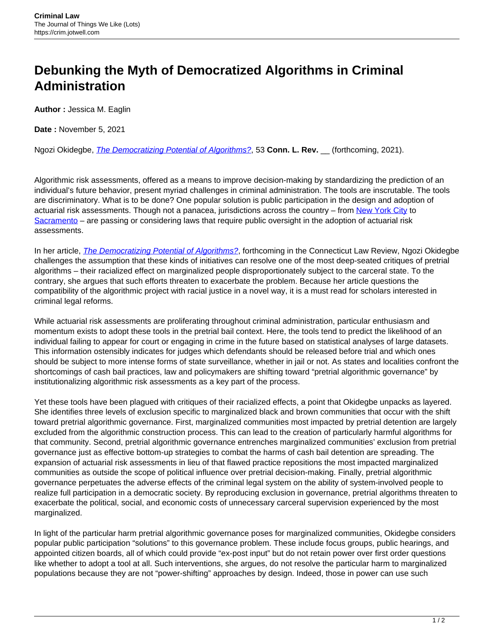## **Debunking the Myth of Democratized Algorithms in Criminal Administration**

**Author :** Jessica M. Eaglin

**Date :** November 5, 2021

Ngozi Okidegbe, [The Democratizing Potential of Algorithms?](https://papers.ssrn.com/sol3/papers.cfm?abstract_id=3835370), 53 **Conn. L. Rev.** \_\_ (forthcoming, 2021).

Algorithmic risk assessments, offered as a means to improve decision-making by standardizing the prediction of an individual's future behavior, present myriad challenges in criminal administration. The tools are inscrutable. The tools are discriminatory. What is to be done? One popular solution is public participation in the design and adoption of actuarial risk assessments. Though not a panacea, jurisdictions across the country – from [New York City](https://www1.nyc.gov/assets/adstaskforce/downloads/pdf/ADS-Report-11192019.pdf) to [Sacramento](https://leginfo.legislature.ca.gov/faces/billTextClient.xhtml?bill_id=202120220AB13) – are passing or considering laws that require public oversight in the adoption of actuarial risk assessments.

In her article, *[The Democratizing Potential of Algorithms?](https://papers.ssrn.com/sol3/papers.cfm?abstract_id=3835370)*, forthcoming in the Connecticut Law Review, Ngozi Okidegbe challenges the assumption that these kinds of initiatives can resolve one of the most deep-seated critiques of pretrial algorithms – their racialized effect on marginalized people disproportionately subject to the carceral state. To the contrary, she argues that such efforts threaten to exacerbate the problem. Because her article questions the compatibility of the algorithmic project with racial justice in a novel way, it is a must read for scholars interested in criminal legal reforms.

While actuarial risk assessments are proliferating throughout criminal administration, particular enthusiasm and momentum exists to adopt these tools in the pretrial bail context. Here, the tools tend to predict the likelihood of an individual failing to appear for court or engaging in crime in the future based on statistical analyses of large datasets. This information ostensibly indicates for judges which defendants should be released before trial and which ones should be subject to more intense forms of state surveillance, whether in jail or not. As states and localities confront the shortcomings of cash bail practices, law and policymakers are shifting toward "pretrial algorithmic governance" by institutionalizing algorithmic risk assessments as a key part of the process.

Yet these tools have been plagued with critiques of their racialized effects, a point that Okidegbe unpacks as layered. She identifies three levels of exclusion specific to marginalized black and brown communities that occur with the shift toward pretrial algorithmic governance. First, marginalized communities most impacted by pretrial detention are largely excluded from the algorithmic construction process. This can lead to the creation of particularly harmful algorithms for that community. Second, pretrial algorithmic governance entrenches marginalized communities' exclusion from pretrial governance just as effective bottom-up strategies to combat the harms of cash bail detention are spreading. The expansion of actuarial risk assessments in lieu of that flawed practice repositions the most impacted marginalized communities as outside the scope of political influence over pretrial decision-making. Finally, pretrial algorithmic governance perpetuates the adverse effects of the criminal legal system on the ability of system-involved people to realize full participation in a democratic society. By reproducing exclusion in governance, pretrial algorithms threaten to exacerbate the political, social, and economic costs of unnecessary carceral supervision experienced by the most marginalized.

In light of the particular harm pretrial algorithmic governance poses for marginalized communities, Okidegbe considers popular public participation "solutions" to this governance problem. These include focus groups, public hearings, and appointed citizen boards, all of which could provide "ex-post input" but do not retain power over first order questions like whether to adopt a tool at all. Such interventions, she argues, do not resolve the particular harm to marginalized populations because they are not "power-shifting" approaches by design. Indeed, those in power can use such